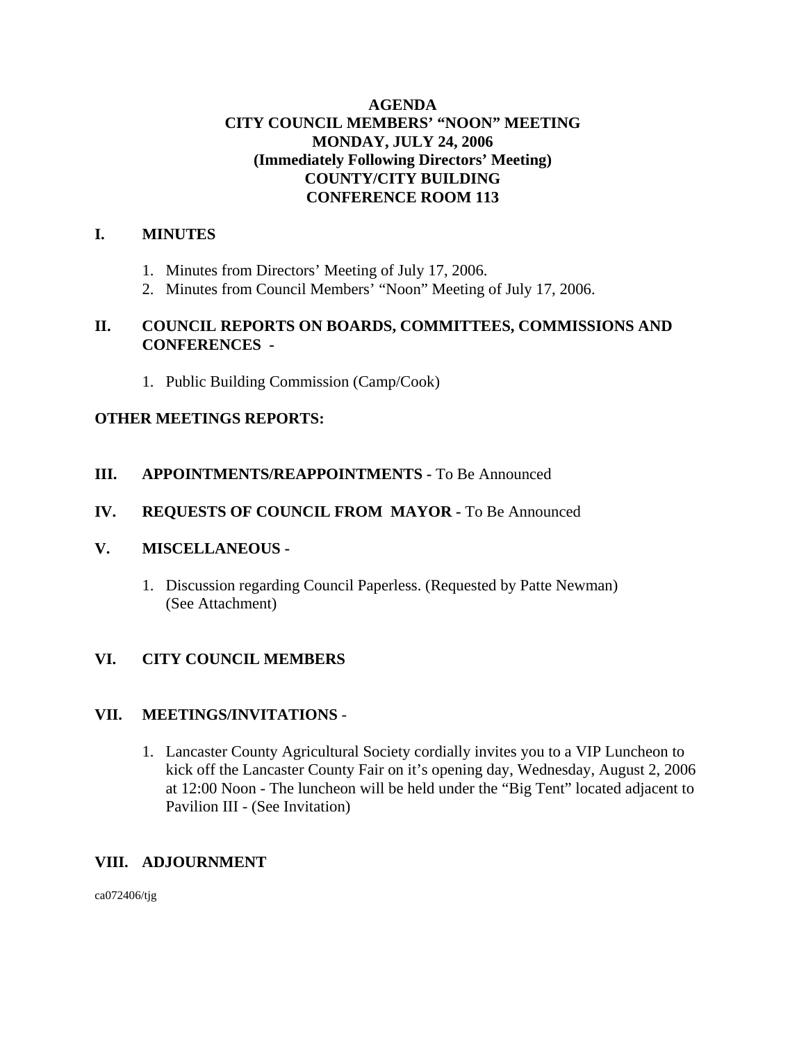## **AGENDA CITY COUNCIL MEMBERS' "NOON" MEETING MONDAY, JULY 24, 2006 (Immediately Following Directors' Meeting) COUNTY/CITY BUILDING CONFERENCE ROOM 113**

# **I. MINUTES**

- 1. Minutes from Directors' Meeting of July 17, 2006.
- 2. Minutes from Council Members' "Noon" Meeting of July 17, 2006.

### **II. COUNCIL REPORTS ON BOARDS, COMMITTEES, COMMISSIONS AND CONFERENCES -**

1. Public Building Commission (Camp/Cook)

## **OTHER MEETINGS REPORTS:**

**III.** APPOINTMENTS/REAPPOINTMENTS - To Be Announced

### **IV. REQUESTS OF COUNCIL FROM MAYOR -** To Be Announced

#### **V. MISCELLANEOUS -**

1. Discussion regarding Council Paperless. (Requested by Patte Newman) (See Attachment)

## **VI. CITY COUNCIL MEMBERS**

#### **VII. MEETINGS/INVITATIONS** -

1. Lancaster County Agricultural Society cordially invites you to a VIP Luncheon to kick off the Lancaster County Fair on it's opening day, Wednesday, August 2, 2006 at 12:00 Noon - The luncheon will be held under the "Big Tent" located adjacent to Pavilion III - (See Invitation)

## **VIII. ADJOURNMENT**

ca072406/tjg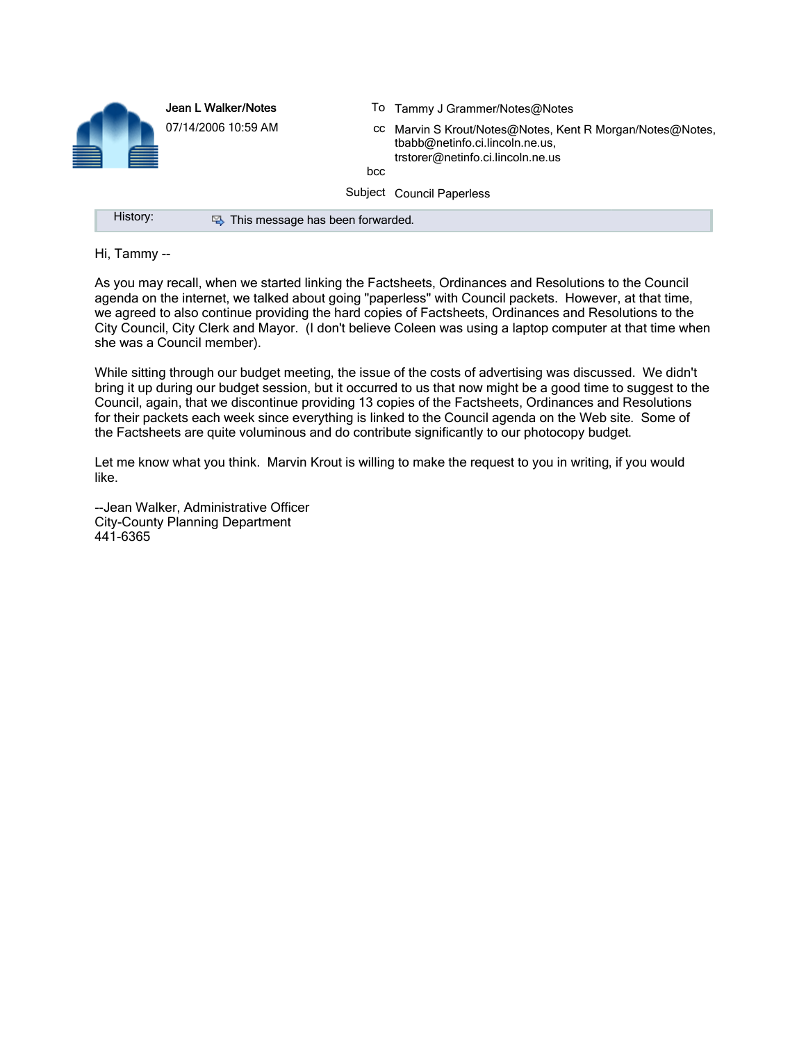| $\blacksquare$ | <b>e</b> | Jean L Walker/Notes              | To Tammy J Grammer/Notes@Notes                                                                                                    |
|----------------|----------|----------------------------------|-----------------------------------------------------------------------------------------------------------------------------------|
|                |          | 07/14/2006 10:59 AM<br>bcc       | cc Marvin S Krout/Notes@Notes, Kent R Morgan/Notes@Notes,<br>tbabb@netinfo.ci.lincoln.ne.us.<br>trstorer@netinfo.ci.lincoln.ne.us |
|                |          |                                  | Subject Council Paperless                                                                                                         |
|                | History: | This message has been forwarded. |                                                                                                                                   |

Hi, Tammy --

As you may recall, when we started linking the Factsheets, Ordinances and Resolutions to the Council agenda on the internet, we talked about going "paperless" with Council packets. However, at that time, we agreed to also continue providing the hard copies of Factsheets, Ordinances and Resolutions to the City Council, City Clerk and Mayor. (I don't believe Coleen was using a laptop computer at that time when she was a Council member).

While sitting through our budget meeting, the issue of the costs of advertising was discussed. We didn't bring it up during our budget session, but it occurred to us that now might be a good time to suggest to the Council, again, that we discontinue providing 13 copies of the Factsheets, Ordinances and Resolutions for their packets each week since everything is linked to the Council agenda on the Web site. Some of the Factsheets are quite voluminous and do contribute significantly to our photocopy budget.

Let me know what you think. Marvin Krout is willing to make the request to you in writing, if you would like.

--Jean Walker, Administrative Officer City-County Planning Department 441-6365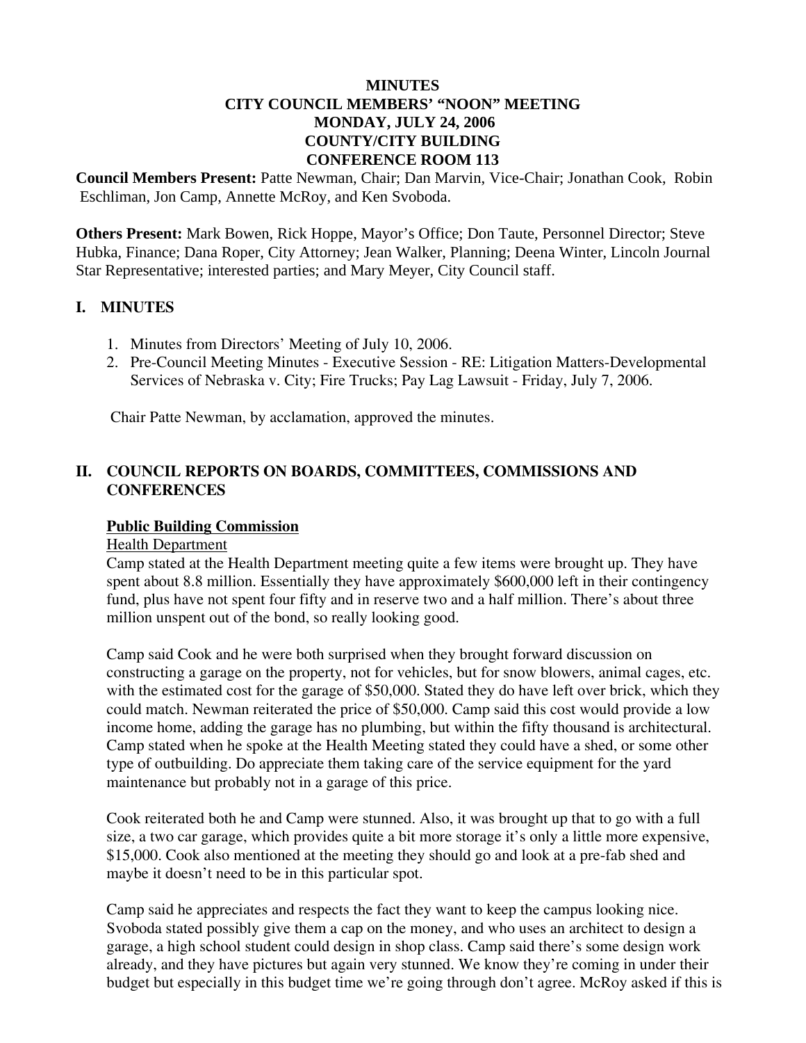### **MINUTES CITY COUNCIL MEMBERS' "NOON" MEETING MONDAY, JULY 24, 2006 COUNTY/CITY BUILDING CONFERENCE ROOM 113**

**Council Members Present:** Patte Newman, Chair; Dan Marvin, Vice-Chair; Jonathan Cook, Robin Eschliman, Jon Camp, Annette McRoy, and Ken Svoboda.

**Others Present:** Mark Bowen, Rick Hoppe, Mayor's Office; Don Taute, Personnel Director; Steve Hubka, Finance; Dana Roper, City Attorney; Jean Walker, Planning; Deena Winter, Lincoln Journal Star Representative; interested parties; and Mary Meyer, City Council staff.

#### **I. MINUTES**

- 1. Minutes from Directors' Meeting of July 10, 2006.
- 2. Pre-Council Meeting Minutes Executive Session RE: Litigation Matters-Developmental Services of Nebraska v. City; Fire Trucks; Pay Lag Lawsuit - Friday, July 7, 2006.

Chair Patte Newman, by acclamation, approved the minutes.

# **II. COUNCIL REPORTS ON BOARDS, COMMITTEES, COMMISSIONS AND CONFERENCES**

#### **Public Building Commission**

#### Health Department

Camp stated at the Health Department meeting quite a few items were brought up. They have spent about 8.8 million. Essentially they have approximately \$600,000 left in their contingency fund, plus have not spent four fifty and in reserve two and a half million. There's about three million unspent out of the bond, so really looking good.

Camp said Cook and he were both surprised when they brought forward discussion on constructing a garage on the property, not for vehicles, but for snow blowers, animal cages, etc. with the estimated cost for the garage of \$50,000. Stated they do have left over brick, which they could match. Newman reiterated the price of \$50,000. Camp said this cost would provide a low income home, adding the garage has no plumbing, but within the fifty thousand is architectural. Camp stated when he spoke at the Health Meeting stated they could have a shed, or some other type of outbuilding. Do appreciate them taking care of the service equipment for the yard maintenance but probably not in a garage of this price.

Cook reiterated both he and Camp were stunned. Also, it was brought up that to go with a full size, a two car garage, which provides quite a bit more storage it's only a little more expensive, \$15,000. Cook also mentioned at the meeting they should go and look at a pre-fab shed and maybe it doesn't need to be in this particular spot.

Camp said he appreciates and respects the fact they want to keep the campus looking nice. Svoboda stated possibly give them a cap on the money, and who uses an architect to design a garage, a high school student could design in shop class. Camp said there's some design work already, and they have pictures but again very stunned. We know they're coming in under their budget but especially in this budget time we're going through don't agree. McRoy asked if this is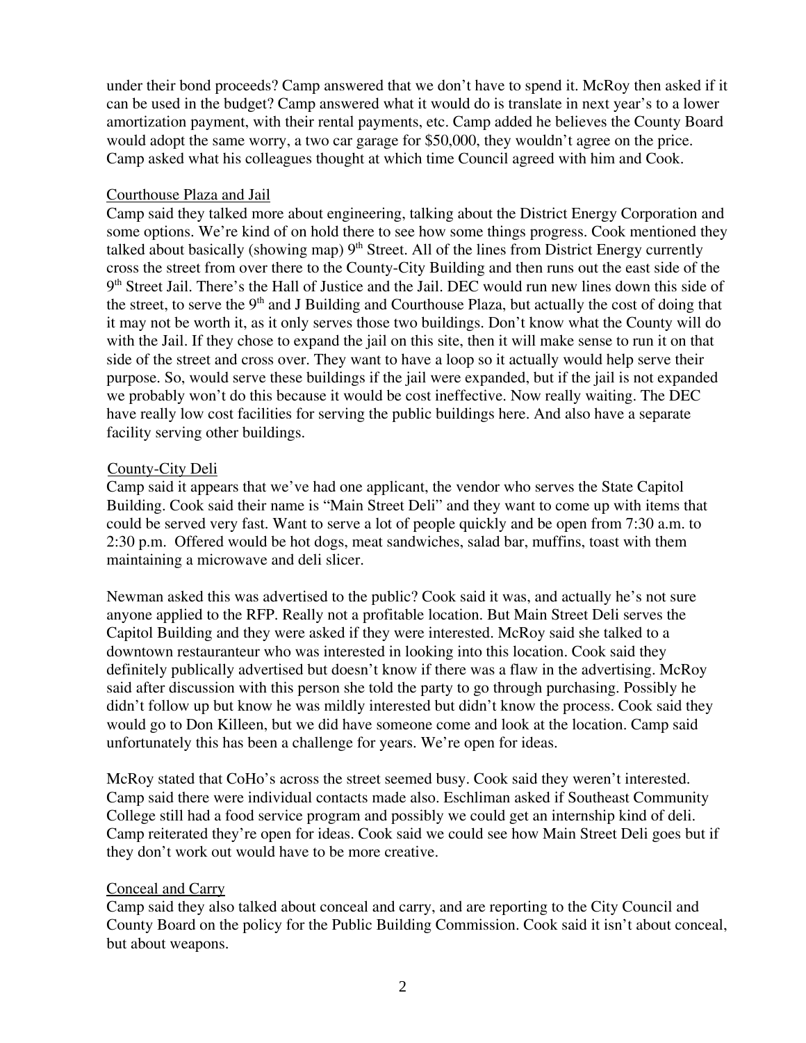under their bond proceeds? Camp answered that we don't have to spend it. McRoy then asked if it can be used in the budget? Camp answered what it would do is translate in next year's to a lower amortization payment, with their rental payments, etc. Camp added he believes the County Board would adopt the same worry, a two car garage for \$50,000, they wouldn't agree on the price. Camp asked what his colleagues thought at which time Council agreed with him and Cook.

### Courthouse Plaza and Jail

Camp said they talked more about engineering, talking about the District Energy Corporation and some options. We're kind of on hold there to see how some things progress. Cook mentioned they talked about basically (showing map)  $9<sup>th</sup>$  Street. All of the lines from District Energy currently cross the street from over there to the County-City Building and then runs out the east side of the  $9<sup>th</sup>$  Street Jail. There's the Hall of Justice and the Jail. DEC would run new lines down this side of the street, to serve the 9<sup>th</sup> and J Building and Courthouse Plaza, but actually the cost of doing that it may not be worth it, as it only serves those two buildings. Don't know what the County will do with the Jail. If they chose to expand the jail on this site, then it will make sense to run it on that side of the street and cross over. They want to have a loop so it actually would help serve their purpose. So, would serve these buildings if the jail were expanded, but if the jail is not expanded we probably won't do this because it would be cost ineffective. Now really waiting. The DEC have really low cost facilities for serving the public buildings here. And also have a separate facility serving other buildings.

### County-City Deli

Camp said it appears that we've had one applicant, the vendor who serves the State Capitol Building. Cook said their name is "Main Street Deli" and they want to come up with items that could be served very fast. Want to serve a lot of people quickly and be open from 7:30 a.m. to 2:30 p.m. Offered would be hot dogs, meat sandwiches, salad bar, muffins, toast with them maintaining a microwave and deli slicer.

Newman asked this was advertised to the public? Cook said it was, and actually he's not sure anyone applied to the RFP. Really not a profitable location. But Main Street Deli serves the Capitol Building and they were asked if they were interested. McRoy said she talked to a downtown restauranteur who was interested in looking into this location. Cook said they definitely publically advertised but doesn't know if there was a flaw in the advertising. McRoy said after discussion with this person she told the party to go through purchasing. Possibly he didn't follow up but know he was mildly interested but didn't know the process. Cook said they would go to Don Killeen, but we did have someone come and look at the location. Camp said unfortunately this has been a challenge for years. We're open for ideas.

McRoy stated that CoHo's across the street seemed busy. Cook said they weren't interested. Camp said there were individual contacts made also. Eschliman asked if Southeast Community College still had a food service program and possibly we could get an internship kind of deli. Camp reiterated they're open for ideas. Cook said we could see how Main Street Deli goes but if they don't work out would have to be more creative.

## Conceal and Carry

Camp said they also talked about conceal and carry, and are reporting to the City Council and County Board on the policy for the Public Building Commission. Cook said it isn't about conceal, but about weapons.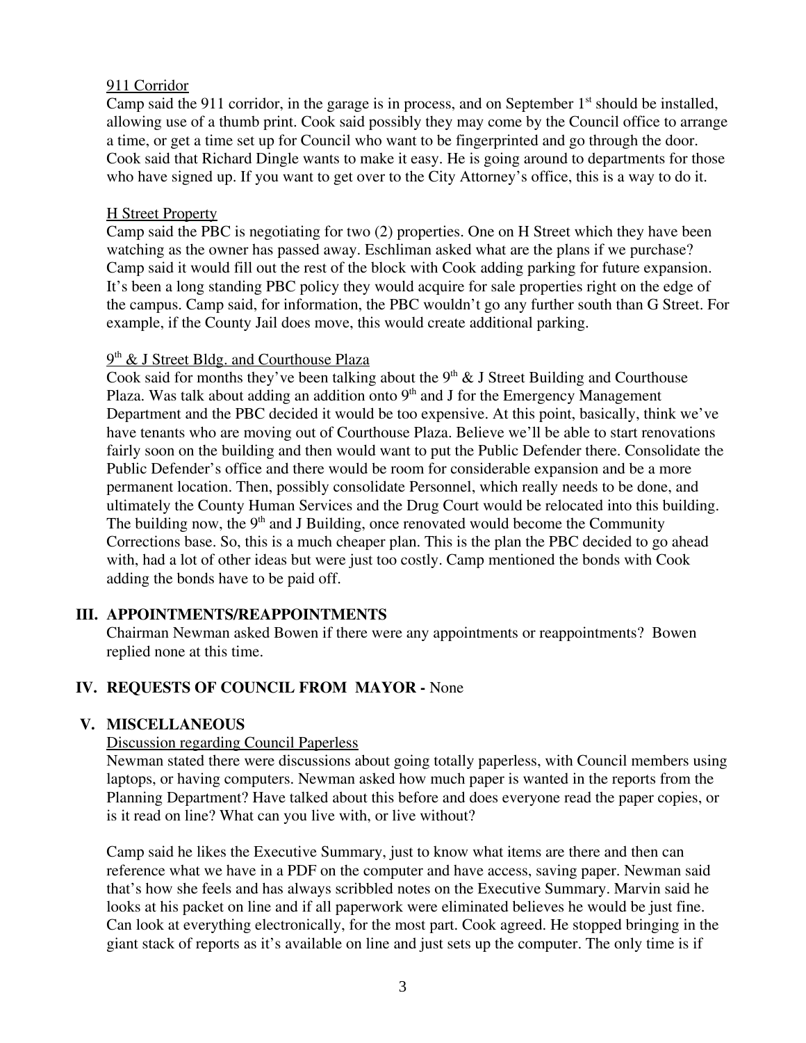### 911 Corridor

Camp said the 911 corridor, in the garage is in process, and on September  $1<sup>st</sup>$  should be installed, allowing use of a thumb print. Cook said possibly they may come by the Council office to arrange a time, or get a time set up for Council who want to be fingerprinted and go through the door. Cook said that Richard Dingle wants to make it easy. He is going around to departments for those who have signed up. If you want to get over to the City Attorney's office, this is a way to do it.

### H Street Property

Camp said the PBC is negotiating for two (2) properties. One on H Street which they have been watching as the owner has passed away. Eschliman asked what are the plans if we purchase? Camp said it would fill out the rest of the block with Cook adding parking for future expansion. It's been a long standing PBC policy they would acquire for sale properties right on the edge of the campus. Camp said, for information, the PBC wouldn't go any further south than G Street. For example, if the County Jail does move, this would create additional parking.

### $9<sup>th</sup>$  & J Street Bldg. and Courthouse Plaza

Cook said for months they've been talking about the  $9<sup>th</sup>$  & J Street Building and Courthouse Plaza. Was talk about adding an addition onto  $9<sup>th</sup>$  and J for the Emergency Management Department and the PBC decided it would be too expensive. At this point, basically, think we've have tenants who are moving out of Courthouse Plaza. Believe we'll be able to start renovations fairly soon on the building and then would want to put the Public Defender there. Consolidate the Public Defender's office and there would be room for considerable expansion and be a more permanent location. Then, possibly consolidate Personnel, which really needs to be done, and ultimately the County Human Services and the Drug Court would be relocated into this building. The building now, the  $9<sup>th</sup>$  and J Building, once renovated would become the Community Corrections base. So, this is a much cheaper plan. This is the plan the PBC decided to go ahead with, had a lot of other ideas but were just too costly. Camp mentioned the bonds with Cook adding the bonds have to be paid off.

## **III. APPOINTMENTS/REAPPOINTMENTS**

Chairman Newman asked Bowen if there were any appointments or reappointments? Bowen replied none at this time.

## **IV. REQUESTS OF COUNCIL FROM MAYOR -** None

## **V. MISCELLANEOUS**

## Discussion regarding Council Paperless

Newman stated there were discussions about going totally paperless, with Council members using laptops, or having computers. Newman asked how much paper is wanted in the reports from the Planning Department? Have talked about this before and does everyone read the paper copies, or is it read on line? What can you live with, or live without?

Camp said he likes the Executive Summary, just to know what items are there and then can reference what we have in a PDF on the computer and have access, saving paper. Newman said that's how she feels and has always scribbled notes on the Executive Summary. Marvin said he looks at his packet on line and if all paperwork were eliminated believes he would be just fine. Can look at everything electronically, for the most part. Cook agreed. He stopped bringing in the giant stack of reports as it's available on line and just sets up the computer. The only time is if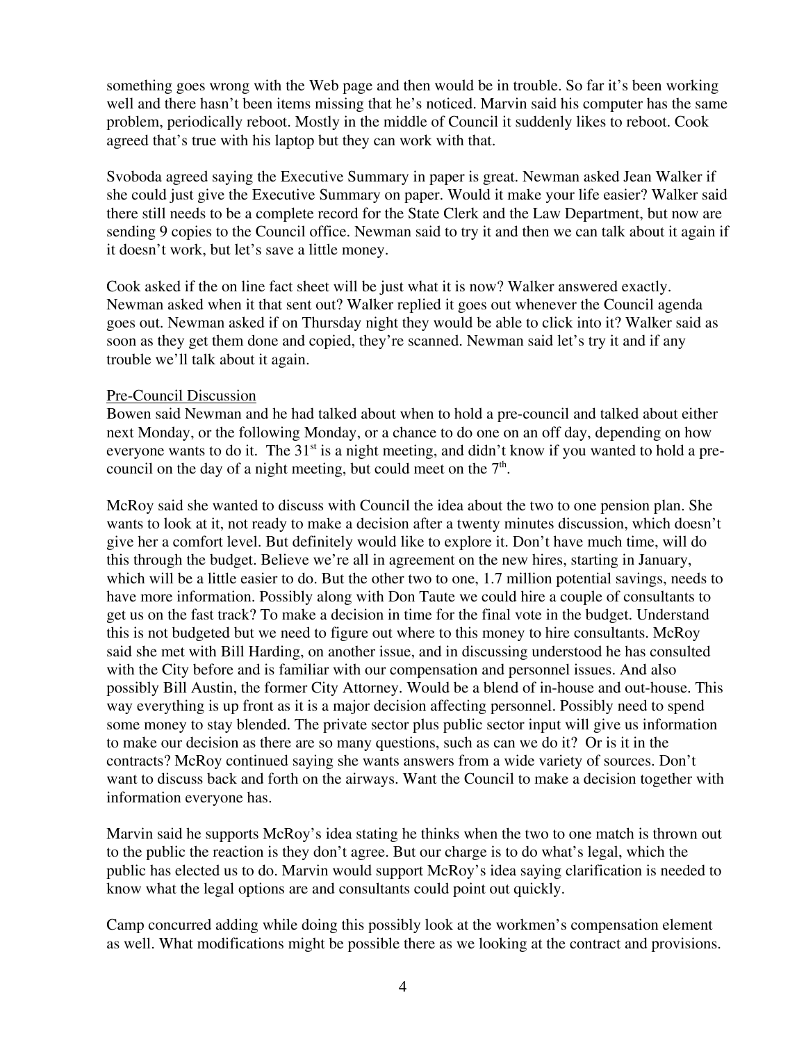something goes wrong with the Web page and then would be in trouble. So far it's been working well and there hasn't been items missing that he's noticed. Marvin said his computer has the same problem, periodically reboot. Mostly in the middle of Council it suddenly likes to reboot. Cook agreed that's true with his laptop but they can work with that.

Svoboda agreed saying the Executive Summary in paper is great. Newman asked Jean Walker if she could just give the Executive Summary on paper. Would it make your life easier? Walker said there still needs to be a complete record for the State Clerk and the Law Department, but now are sending 9 copies to the Council office. Newman said to try it and then we can talk about it again if it doesn't work, but let's save a little money.

Cook asked if the on line fact sheet will be just what it is now? Walker answered exactly. Newman asked when it that sent out? Walker replied it goes out whenever the Council agenda goes out. Newman asked if on Thursday night they would be able to click into it? Walker said as soon as they get them done and copied, they're scanned. Newman said let's try it and if any trouble we'll talk about it again.

#### Pre-Council Discussion

Bowen said Newman and he had talked about when to hold a pre-council and talked about either next Monday, or the following Monday, or a chance to do one on an off day, depending on how everyone wants to do it. The 31<sup>st</sup> is a night meeting, and didn't know if you wanted to hold a precouncil on the day of a night meeting, but could meet on the  $7<sup>th</sup>$ .

McRoy said she wanted to discuss with Council the idea about the two to one pension plan. She wants to look at it, not ready to make a decision after a twenty minutes discussion, which doesn't give her a comfort level. But definitely would like to explore it. Don't have much time, will do this through the budget. Believe we're all in agreement on the new hires, starting in January, which will be a little easier to do. But the other two to one, 1.7 million potential savings, needs to have more information. Possibly along with Don Taute we could hire a couple of consultants to get us on the fast track? To make a decision in time for the final vote in the budget. Understand this is not budgeted but we need to figure out where to this money to hire consultants. McRoy said she met with Bill Harding, on another issue, and in discussing understood he has consulted with the City before and is familiar with our compensation and personnel issues. And also possibly Bill Austin, the former City Attorney. Would be a blend of in-house and out-house. This way everything is up front as it is a major decision affecting personnel. Possibly need to spend some money to stay blended. The private sector plus public sector input will give us information to make our decision as there are so many questions, such as can we do it? Or is it in the contracts? McRoy continued saying she wants answers from a wide variety of sources. Don't want to discuss back and forth on the airways. Want the Council to make a decision together with information everyone has.

Marvin said he supports McRoy's idea stating he thinks when the two to one match is thrown out to the public the reaction is they don't agree. But our charge is to do what's legal, which the public has elected us to do. Marvin would support McRoy's idea saying clarification is needed to know what the legal options are and consultants could point out quickly.

Camp concurred adding while doing this possibly look at the workmen's compensation element as well. What modifications might be possible there as we looking at the contract and provisions.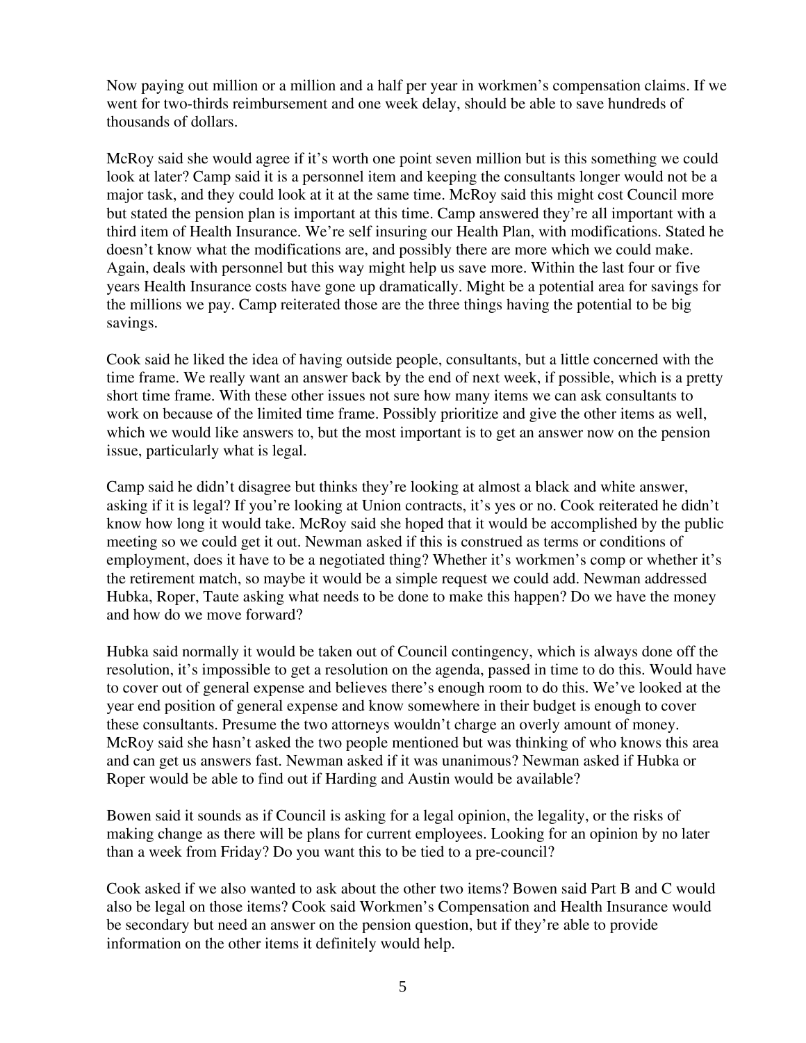Now paying out million or a million and a half per year in workmen's compensation claims. If we went for two-thirds reimbursement and one week delay, should be able to save hundreds of thousands of dollars.

McRoy said she would agree if it's worth one point seven million but is this something we could look at later? Camp said it is a personnel item and keeping the consultants longer would not be a major task, and they could look at it at the same time. McRoy said this might cost Council more but stated the pension plan is important at this time. Camp answered they're all important with a third item of Health Insurance. We're self insuring our Health Plan, with modifications. Stated he doesn't know what the modifications are, and possibly there are more which we could make. Again, deals with personnel but this way might help us save more. Within the last four or five years Health Insurance costs have gone up dramatically. Might be a potential area for savings for the millions we pay. Camp reiterated those are the three things having the potential to be big savings.

Cook said he liked the idea of having outside people, consultants, but a little concerned with the time frame. We really want an answer back by the end of next week, if possible, which is a pretty short time frame. With these other issues not sure how many items we can ask consultants to work on because of the limited time frame. Possibly prioritize and give the other items as well, which we would like answers to, but the most important is to get an answer now on the pension issue, particularly what is legal.

Camp said he didn't disagree but thinks they're looking at almost a black and white answer, asking if it is legal? If you're looking at Union contracts, it's yes or no. Cook reiterated he didn't know how long it would take. McRoy said she hoped that it would be accomplished by the public meeting so we could get it out. Newman asked if this is construed as terms or conditions of employment, does it have to be a negotiated thing? Whether it's workmen's comp or whether it's the retirement match, so maybe it would be a simple request we could add. Newman addressed Hubka, Roper, Taute asking what needs to be done to make this happen? Do we have the money and how do we move forward?

Hubka said normally it would be taken out of Council contingency, which is always done off the resolution, it's impossible to get a resolution on the agenda, passed in time to do this. Would have to cover out of general expense and believes there's enough room to do this. We've looked at the year end position of general expense and know somewhere in their budget is enough to cover these consultants. Presume the two attorneys wouldn't charge an overly amount of money. McRoy said she hasn't asked the two people mentioned but was thinking of who knows this area and can get us answers fast. Newman asked if it was unanimous? Newman asked if Hubka or Roper would be able to find out if Harding and Austin would be available?

Bowen said it sounds as if Council is asking for a legal opinion, the legality, or the risks of making change as there will be plans for current employees. Looking for an opinion by no later than a week from Friday? Do you want this to be tied to a pre-council?

Cook asked if we also wanted to ask about the other two items? Bowen said Part B and C would also be legal on those items? Cook said Workmen's Compensation and Health Insurance would be secondary but need an answer on the pension question, but if they're able to provide information on the other items it definitely would help.